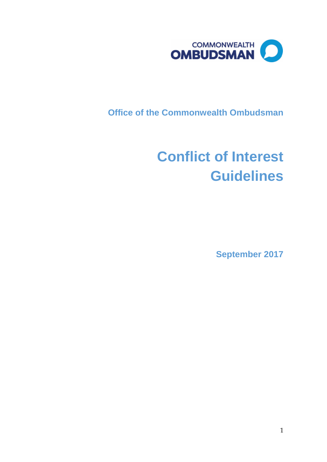

**Office of the Commonwealth Ombudsman**

# **Conflict of Interest Guidelines**

**September 2017**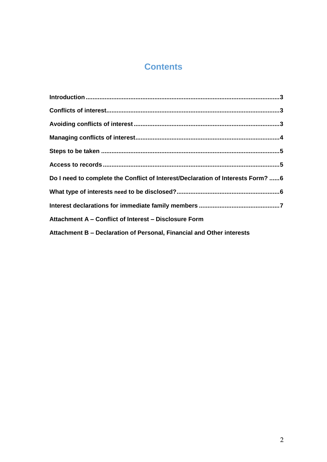# **Contents**

| Do I need to complete the Conflict of Interest/Declaration of Interests Form? 6 |  |
|---------------------------------------------------------------------------------|--|
|                                                                                 |  |
|                                                                                 |  |
| Attachment A - Conflict of Interest - Disclosure Form                           |  |
| Attachment B - Declaration of Personal, Financial and Other interests           |  |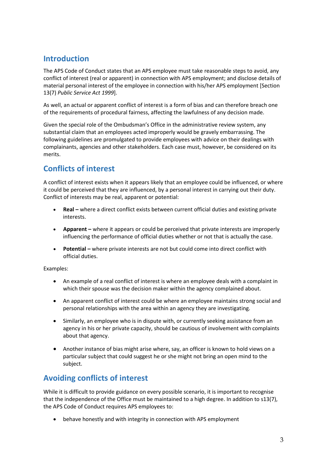# <span id="page-2-0"></span>**Introduction**

The APS Code of Conduct states that an APS employee must take reasonable steps to avoid, any conflict of interest (real or apparent) in connection with APS employment; and disclose details of material personal interest of the employee in connection with his/her APS employment [Section 13(7) *Public Service Act 1999*].

As well, an actual or apparent conflict of interest is a form of bias and can therefore breach one of the requirements of procedural fairness, affecting the lawfulness of any decision made.

Given the special role of the Ombudsman's Office in the administrative review system, any substantial claim that an employees acted improperly would be gravely embarrassing. The following guidelines are promulgated to provide employees with advice on their dealings with complainants, agencies and other stakeholders. Each case must, however, be considered on its merits.

# <span id="page-2-1"></span>**Conflicts of interest**

A conflict of interest exists when it appears likely that an employee could be influenced, or where it could be perceived that they are influenced, by a personal interest in carrying out their duty. Conflict of interests may be real, apparent or potential:

- **Real –** where a direct conflict exists between current official duties and existing private interests.
- **Apparent –** where it appears or could be perceived that private interests are improperly influencing the performance of official duties whether or not that is actually the case.
- **•** Potential where private interests are not but could come into direct conflict with official duties.

Examples:

- An example of a real conflict of interest is where an employee deals with a complaint in which their spouse was the decision maker within the agency complained about.
- An apparent conflict of interest could be where an employee maintains strong social and personal relationships with the area within an agency they are investigating.
- Similarly, an employee who is in dispute with, or currently seeking assistance from an agency in his or her private capacity, should be cautious of involvement with complaints about that agency.
- Another instance of bias might arise where, say, an officer is known to hold views on a particular subject that could suggest he or she might not bring an open mind to the subject.

## <span id="page-2-2"></span>**Avoiding conflicts of interest**

While it is difficult to provide guidance on every possible scenario, it is important to recognise that the independence of the Office must be maintained to a high degree. In addition to s13(7), the APS Code of Conduct requires APS employees to:

behave honestly and with integrity in connection with APS employment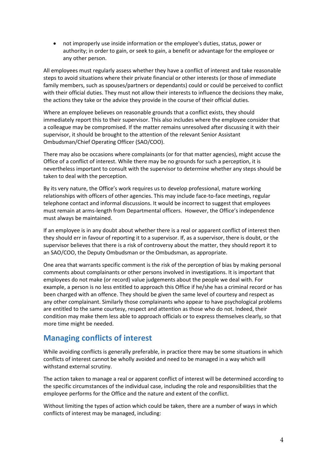not improperly use inside information or the employee's duties, status, power or authority; in order to gain, or seek to gain, a benefit or advantage for the employee or any other person.

All employees must regularly assess whether they have a conflict of interest and take reasonable steps to avoid situations where their private financial or other interests (or those of immediate family members, such as spouses/partners or dependants) could or could be perceived to conflict with their official duties. They must not allow their interests to influence the decisions they make, the actions they take or the advice they provide in the course of their official duties.

Where an employee believes on reasonable grounds that a conflict exists, they should immediately report this to their supervisor. This also includes where the employee consider that a colleague may be compromised. If the matter remains unresolved after discussing it with their supervisor, it should be brought to the attention of the relevant Senior Assistant Ombudsman/Chief Operating Officer (SAO/COO).

There may also be occasions where complainants (or for that matter agencies), might accuse the Office of a conflict of interest. While there may be no grounds for such a perception, it is nevertheless important to consult with the supervisor to determine whether any steps should be taken to deal with the perception.

By its very nature, the Office's work requires us to develop professional, mature working relationships with officers of other agencies. This may include face-to-face meetings, regular telephone contact and informal discussions. It would be incorrect to suggest that employees must remain at arms-length from Departmental officers. However, the Office's independence must always be maintained.

If an employee is in any doubt about whether there is a real or apparent conflict of interest then they should err in favour of reporting it to a supervisor. If, as a supervisor, there is doubt, or the supervisor believes that there is a risk of controversy about the matter, they should report it to an SAO/COO, the Deputy Ombudsman or the Ombudsman, as appropriate.

One area that warrants specific comment is the risk of the perception of bias by making personal comments about complainants or other persons involved in investigations. It is important that employees do not make (or record) value judgements about the people we deal with. For example, a person is no less entitled to approach this Office if he/she has a criminal record or has been charged with an offence. They should be given the same level of courtesy and respect as any other complainant. Similarly those complainants who appear to have psychological problems are entitled to the same courtesy, respect and attention as those who do not. Indeed, their condition may make them less able to approach officials or to express themselves clearly, so that more time might be needed.

### <span id="page-3-0"></span>**Managing conflicts of interest**

While avoiding conflicts is generally preferable, in practice there may be some situations in which conflicts of interest cannot be wholly avoided and need to be managed in a way which will withstand external scrutiny.

The action taken to manage a real or apparent conflict of interest will be determined according to the specific circumstances of the individual case, including the role and responsibilities that the employee performs for the Office and the nature and extent of the conflict.

Without limiting the types of action which could be taken, there are a number of ways in which conflicts of interest may be managed, including: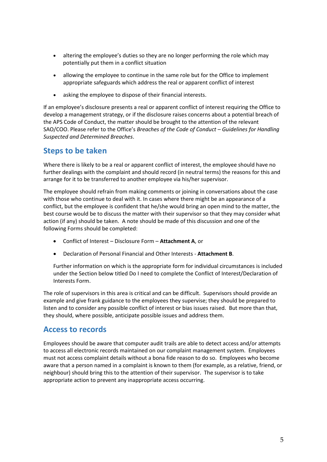- altering the employee's duties so they are no longer performing the role which may potentially put them in a conflict situation
- allowing the employee to continue in the same role but for the Office to implement appropriate safeguards which address the real or apparent conflict of interest
- asking the employee to dispose of their financial interests.

If an employee's disclosure presents a real or apparent conflict of interest requiring the Office to develop a management strategy, or if the disclosure raises concerns about a potential breach of the APS Code of Conduct, the matter should be brought to the attention of the relevant SAO/COO. Please refer to the Office's *Breaches of the Code of Conduct – Guidelines for Handling Suspected and Determined Breaches*.

### <span id="page-4-0"></span>**Steps to be taken**

Where there is likely to be a real or apparent conflict of interest, the employee should have no further dealings with the complaint and should record (in neutral terms) the reasons for this and arrange for it to be transferred to another employee via his/her supervisor.

The employee should refrain from making comments or joining in conversations about the case with those who continue to deal with it. In cases where there might be an appearance of a conflict, but the employee is confident that he/she would bring an open mind to the matter, the best course would be to discuss the matter with their supervisor so that they may consider what action (if any) should be taken. A note should be made of this discussion and one of the following Forms should be completed:

- Conflict of Interest Disclosure Form **Attachment A**, or
- Declaration of Personal Financial and Other Interests **Attachment B**.

Further information on which is the appropriate form for individual circumstances is included under the Section below titled Do I need to complete the Conflict of Interest/Declaration of Interests Form.

The role of supervisors in this area is critical and can be difficult. Supervisors should provide an example and give frank guidance to the employees they supervise; they should be prepared to listen and to consider any possible conflict of interest or bias issues raised. But more than that, they should, where possible, anticipate possible issues and address them.

### <span id="page-4-1"></span>**Access to records**

Employees should be aware that computer audit trails are able to detect access and/or attempts to access all electronic records maintained on our complaint management system. Employees must not access complaint details without a bona fide reason to do so. Employees who become aware that a person named in a complaint is known to them (for example, as a relative, friend, or neighbour) should bring this to the attention of their supervisor. The supervisor is to take appropriate action to prevent any inappropriate access occurring.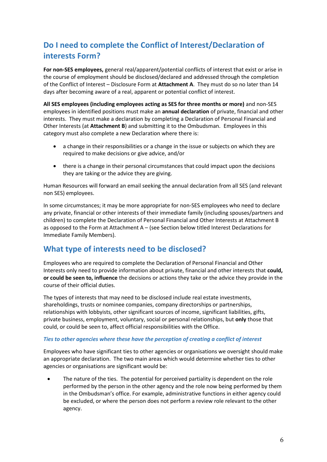# <span id="page-5-0"></span>**Do I need to complete the Conflict of Interest/Declaration of interests Form?**

**For non-SES employees,** general real/apparent/potential conflicts of interest that exist or arise in the course of employment should be disclosed/declared and addressed through the completion of the Conflict of Interest – Disclosure Form at **Attachment A**. They must do so no later than 14 days after becoming aware of a real, apparent or potential conflict of interest.

**All SES employees (including employees acting as SES for three months or more)** and non-SES employees in identified positions must make an **annual declaration** of private, financial and other interests. They must make a declaration by completing a Declaration of Personal Financial and Other Interests (at **Attachment B**) and submitting it to the Ombudsman. Employees in this category must also complete a new Declaration where there is:

- a change in their responsibilities or a change in the issue or subjects on which they are required to make decisions or give advice, and/or
- there is a change in their personal circumstances that could impact upon the decisions they are taking or the advice they are giving.

Human Resources will forward an email seeking the annual declaration from all SES (and relevant non SES) employees.

In some circumstances; it may be more appropriate for non-SES employees who need to declare any private, financial or other interests of their immediate family (including spouses/partners and children) to complete the Declaration of Personal Financial and Other Interests at Attachment B as opposed to the Form at Attachment A – (see Section below titled Interest Declarations for Immediate Family Members).

## <span id="page-5-1"></span>**What type of interests need to be disclosed?**

Employees who are required to complete the Declaration of Personal Financial and Other Interests only need to provide information about private, financial and other interests that **could, or could be seen to, influence** the decisions or actions they take or the advice they provide in the course of their official duties.

The types of interests that may need to be disclosed include real estate investments, shareholdings, trusts or nominee companies, company directorships or partnerships, relationships with lobbyists, other significant sources of income, significant liabilities, gifts, private business, employment, voluntary, social or personal relationships, but **only** those that could, or could be seen to, affect official responsibilities with the Office.

#### *Ties to other agencies where these have the perception of creating a conflict of interest*

Employees who have significant ties to other agencies or organisations we oversight should make an appropriate declaration. The two main areas which would determine whether ties to other agencies or organisations are significant would be:

 The nature of the ties. The potential for perceived partiality is dependent on the role performed by the person in the other agency and the role now being performed by them in the Ombudsman's office. For example, administrative functions in either agency could be excluded, or where the person does not perform a review role relevant to the other agency.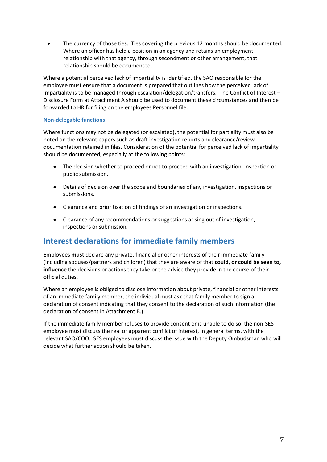The currency of those ties. Ties covering the previous 12 months should be documented. Where an officer has held a position in an agency and retains an employment relationship with that agency, through secondment or other arrangement, that relationship should be documented.

Where a potential perceived lack of impartiality is identified, the SAO responsible for the employee must ensure that a document is prepared that outlines how the perceived lack of impartiality is to be managed through escalation/delegation/transfers. The Conflict of Interest – Disclosure Form at Attachment A should be used to document these circumstances and then be forwarded to HR for filing on the employees Personnel file.

#### **Non-delegable functions**

Where functions may not be delegated (or escalated), the potential for partiality must also be noted on the relevant papers such as draft investigation reports and clearance/review documentation retained in files. Consideration of the potential for perceived lack of impartiality should be documented, especially at the following points:

- The decision whether to proceed or not to proceed with an investigation, inspection or public submission.
- Details of decision over the scope and boundaries of any investigation, inspections or submissions.
- Clearance and prioritisation of findings of an investigation or inspections.
- Clearance of any recommendations or suggestions arising out of investigation, inspections or submission.

### <span id="page-6-0"></span>**Interest declarations for immediate family members**

Employees **must** declare any private, financial or other interests of their immediate family (including spouses/partners and children) that they are aware of that **could, or could be seen to, influence** the decisions or actions they take or the advice they provide in the course of their official duties.

Where an employee is obliged to disclose information about private, financial or other interests of an immediate family member, the individual must ask that family member to sign a declaration of consent indicating that they consent to the declaration of such information (the declaration of consent in Attachment B.)

If the immediate family member refuses to provide consent or is unable to do so, the non-SES employee must discuss the real or apparent conflict of interest, in general terms, with the relevant SAO/COO. SES employees must discuss the issue with the Deputy Ombudsman who will decide what further action should be taken.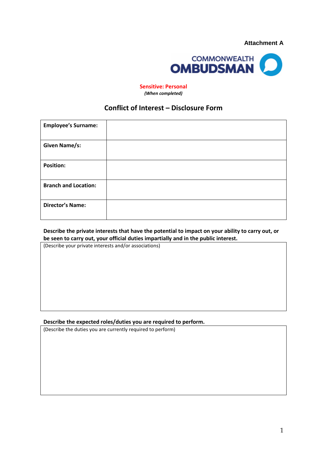

**Sensitive: Personal** *(When completed)*

### **Conflict of Interest – Disclosure Form**

| <b>Employee's Surname:</b>  |  |
|-----------------------------|--|
| <b>Given Name/s:</b>        |  |
| <b>Position:</b>            |  |
| <b>Branch and Location:</b> |  |
| <b>Director's Name:</b>     |  |

#### **Describe the private interests that have the potential to impact on your ability to carry out, or be seen to carry out, your official duties impartially and in the public interest.**

(Describe your private interests and/or associations)

#### **Describe the expected roles/duties you are required to perform.**

(Describe the duties you are currently required to perform)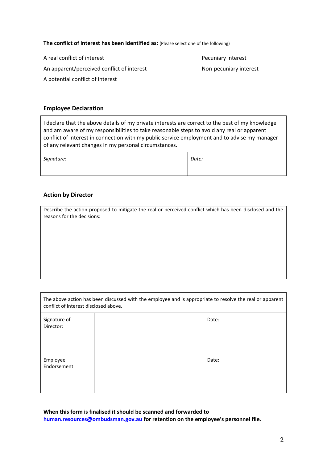**The conflict of interest has been identified as:** (Please select one of the following)

A real conflict of interest **Pecuniary interest** 

An apparent/perceived conflict of interest Non-pecuniary interest

A potential conflict of interest

#### **Employee Declaration**

I declare that the above details of my private interests are correct to the best of my knowledge and am aware of my responsibilities to take reasonable steps to avoid any real or apparent conflict of interest in connection with my public service employment and to advise my manager of any relevant changes in my personal circumstances.

| Signature: | Date: |
|------------|-------|
|            |       |

#### **Action by Director**

Г

Describe the action proposed to mitigate the real or perceived conflict which has been disclosed and the reasons for the decisions:

| The above action has been discussed with the employee and is appropriate to resolve the real or apparent<br>conflict of interest disclosed above. |  |       |  |
|---------------------------------------------------------------------------------------------------------------------------------------------------|--|-------|--|
| Signature of<br>Director:                                                                                                                         |  | Date: |  |
| Employee<br>Endorsement:                                                                                                                          |  | Date: |  |

**When this form is finalised it should be scanned and forwarded to [human.resources@ombudsman.gov.au](mailto:human.resources@ombudsman.gov.au) for retention on the employee's personnel file.**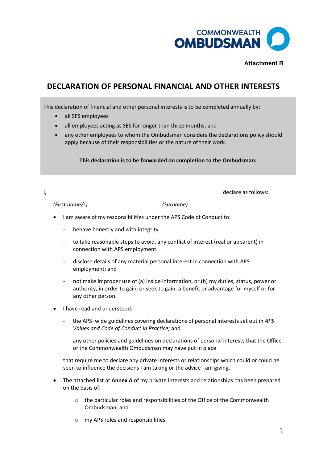

#### **Attachment B**

## **DECLARATION OF PERSONAL FINANCIAL AND OTHER INTERESTS**

This declaration of financial and other personal interests is to be completed annually by:

- all SES employees
- all employees acting as SES for longer than three months; and
- any other employees to whom the Ombudsman considers the declarations policy should apply because of their responsibilities or the nature of their work.

#### **This declaration is to be forwarded on completion to the Ombudsman:**

I, the contract of the contract of the contract of the contract of the contract of the contract of the contract of the contract of the contract of the contract of the contract of the contract of the contract of the contrac

#### *(First name/s) (Surname)*

- I am aware of my responsibilities under the APS Code of Conduct to:
	- behave honestly and with integrity
	- to take reasonable steps to avoid, any conflict of interest (real or apparent) in connection with APS employment
	- disclose details of any material personal interest in connection with APS employment; and
	- not make improper use of (a) inside information, or (b) my duties, status, power or authority, in order to gain, or seek to gain, a benefit or advantage for myself or for any other person.
- I have read and understood:
	- the APS–wide guidelines covering declarations of personal interests set out in *APS Values and Code of Conduct in Practice;* and
	- any other policies and guidelines on declarations of personal interests that the Office of the Commonwealth Ombudsman may have put in place

that require me to declare any private interests or relationships which could or could be seen to influence the decisions I am taking or the advice I am giving.

- The attached list at **Annex A** of my private interests and relationships has been prepared on the basis of:
	- $\circ$  the particular roles and responsibilities of the Office of the Commonwealth Ombudsman; and
	- o my APS roles and responsibilities.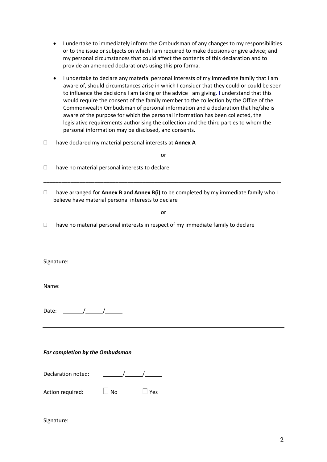- I undertake to immediately inform the Ombudsman of any changes to my responsibilities or to the issue or subjects on which I am required to make decisions or give advice; and my personal circumstances that could affect the contents of this declaration and to provide an amended declaration/s using this pro forma.
- I undertake to declare any material personal interests of my immediate family that I am aware of, should circumstances arise in which I consider that they could or could be seen to influence the decisions I am taking or the advice I am giving. I understand that this would require the consent of the family member to the collection by the Office of the Commonwealth Ombudsman of personal information and a declaration that he/she is aware of the purpose for which the personal information has been collected, the legislative requirements authorising the collection and the third parties to whom the personal information may be disclosed, and consents.
- I have declared my material personal interests at **Annex A**

or

- $\Box$  I have no material personal interests to declare
- I have arranged for **Annex B and Annex B(i)** to be completed by my immediate family who I believe have material personal interests to declare

\_\_\_\_\_\_\_\_\_\_\_\_\_\_\_\_\_\_\_\_\_\_\_\_\_\_\_\_\_\_\_\_\_\_\_\_\_\_\_\_\_\_\_\_\_\_\_\_\_\_\_\_\_\_\_\_\_\_\_\_\_\_\_\_\_\_\_\_\_\_\_\_\_\_\_\_\_\_\_

or

 $\Box$  I have no material personal interests in respect of my immediate family to declare

Signature:

Name:

Date:  $\frac{1}{\sqrt{1-\frac{1}{2}}}\frac{1}{\sqrt{1-\frac{1}{2}}}\frac{1}{\sqrt{1-\frac{1}{2}}}\frac{1}{\sqrt{1-\frac{1}{2}}}\frac{1}{\sqrt{1-\frac{1}{2}}}\frac{1}{\sqrt{1-\frac{1}{2}}}\frac{1}{\sqrt{1-\frac{1}{2}}}\frac{1}{\sqrt{1-\frac{1}{2}}}\frac{1}{\sqrt{1-\frac{1}{2}}}\frac{1}{\sqrt{1-\frac{1}{2}}}\frac{1}{\sqrt{1-\frac{1}{2}}}\frac{1}{\sqrt{1-\frac{1}{2}}}\frac{1}{\sqrt{1-\frac{1}{2}}}\frac{1}{\$ 

#### *For completion by the Ombudsman*

| Action required: | $\Box$ No | $\Box$ Yes |
|------------------|-----------|------------|
|                  |           |            |

#### Signature: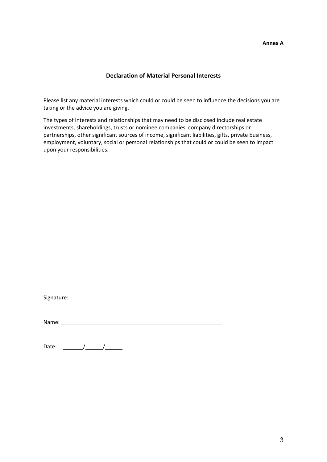#### **Declaration of Material Personal Interests**

Please list any material interests which could or could be seen to influence the decisions you are taking or the advice you are giving.

The types of interests and relationships that may need to be disclosed include real estate investments, shareholdings, trusts or nominee companies, company directorships or partnerships, other significant sources of income, significant liabilities, gifts, private business, employment, voluntary, social or personal relationships that could or could be seen to impact upon your responsibilities.

| Signature: |
|------------|
|------------|

Name:

Date:  $\frac{1}{\sqrt{1-\frac{1}{2}}}\frac{1}{\sqrt{1-\frac{1}{2}}}\frac{1}{\sqrt{1-\frac{1}{2}}}\frac{1}{\sqrt{1-\frac{1}{2}}}\frac{1}{\sqrt{1-\frac{1}{2}}}\frac{1}{\sqrt{1-\frac{1}{2}}}\frac{1}{\sqrt{1-\frac{1}{2}}}\frac{1}{\sqrt{1-\frac{1}{2}}}\frac{1}{\sqrt{1-\frac{1}{2}}}\frac{1}{\sqrt{1-\frac{1}{2}}}\frac{1}{\sqrt{1-\frac{1}{2}}}\frac{1}{\sqrt{1-\frac{1}{2}}}\frac{1}{\sqrt{1-\frac{1}{2}}}\frac{1}{\$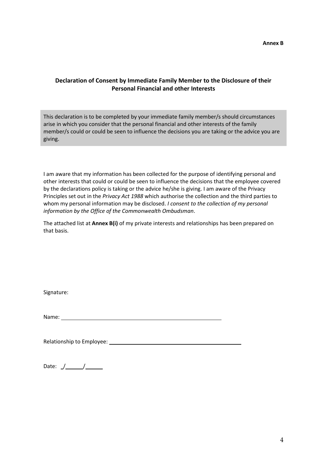#### **Declaration of Consent by Immediate Family Member to the Disclosure of their Personal Financial and other Interests**

This declaration is to be completed by your immediate family member/s should circumstances arise in which you consider that the personal financial and other interests of the family member/s could or could be seen to influence the decisions you are taking or the advice you are giving.

I am aware that my information has been collected for the purpose of identifying personal and other interests that could or could be seen to influence the decisions that the employee covered by the declarations policy is taking or the advice he/she is giving. I am aware of the Privacy Principles set out in the *Privacy Act 1988* which authorise the collection and the third parties to whom my personal information may be disclosed. *I consent to the collection of my personal information by the Office of the Commonwealth Ombudsman*.

The attached list at **Annex B(i)** of my private interests and relationships has been prepared on that basis.

Signature:

Name:

Relationship to Employee:

Date:  $J$  /